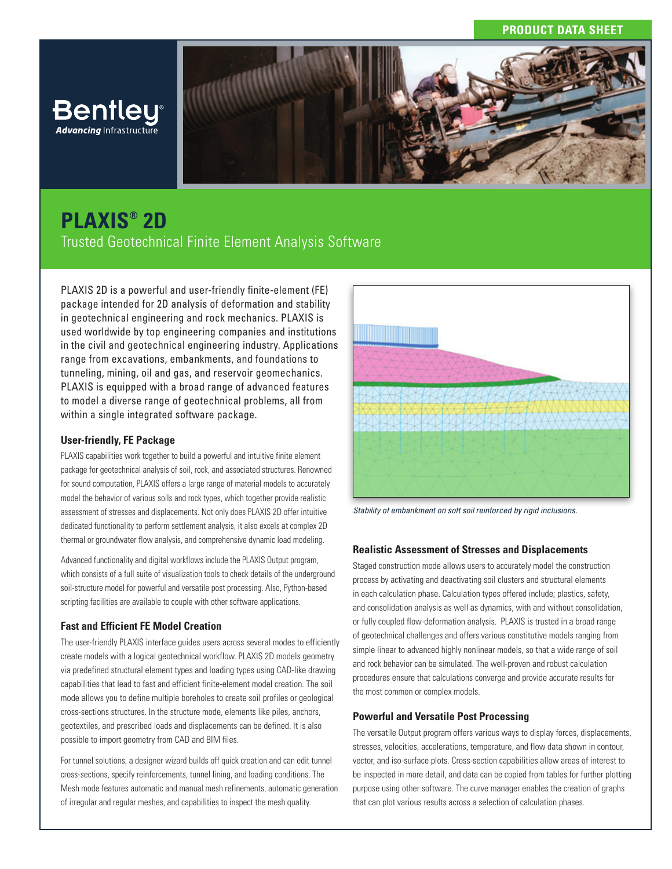## **PRODUCT DATA SHEET**



# **PLAXIS® 2D**

Trusted Geotechnical Finite Element Analysis Software

PLAXIS 2D is a powerful and user-friendly finite-element (FE) package intended for 2D analysis of deformation and stability in geotechnical engineering and rock mechanics. PLAXIS is used worldwide by top engineering companies and institutions in the civil and geotechnical engineering industry. Applications range from excavations, embankments, and foundations to tunneling, mining, oil and gas, and reservoir geomechanics. PLAXIS is equipped with a broad range of advanced features to model a diverse range of geotechnical problems, all from within a single integrated software package.

## **User-friendly, FE Package**

PLAXIS capabilities work together to build a powerful and intuitive finite element package for geotechnical analysis of soil, rock, and associated structures. Renowned for sound computation, PLAXIS offers a large range of material models to accurately model the behavior of various soils and rock types, which together provide realistic assessment of stresses and displacements. Not only does PLAXIS 2D offer intuitive dedicated functionality to perform settlement analysis, it also excels at complex 2D thermal or groundwater flow analysis, and comprehensive dynamic load modeling.

Advanced functionality and digital workflows include the PLAXIS Output program, which consists of a full suite of visualization tools to check details of the underground soil-structure model for powerful and versatile post processing. Also, Python-based scripting facilities are available to couple with other software applications.

## **Fast and Efficient FE Model Creation**

The user-friendly PLAXIS interface guides users across several modes to efficiently create models with a logical geotechnical workflow. PLAXIS 2D models geometry via predefined structural element types and loading types using CAD-like drawing capabilities that lead to fast and efficient finite-element model creation. The soil mode allows you to define multiple boreholes to create soil profiles or geological cross-sections structures. In the structure mode, elements like piles, anchors, geotextiles, and prescribed loads and displacements can be defined. It is also possible to import geometry from CAD and BIM files.

For tunnel solutions, a designer wizard builds off quick creation and can edit tunnel cross-sections, specify reinforcements, tunnel lining, and loading conditions. The Mesh mode features automatic and manual mesh refinements, automatic generation of irregular and regular meshes, and capabilities to inspect the mesh quality.



*Stability of embankment on soft soil reinforced by rigid inclusions.*

## **Realistic Assessment of Stresses and Displacements**

Staged construction mode allows users to accurately model the construction process by activating and deactivating soil clusters and structural elements in each calculation phase. Calculation types offered include; plastics, safety, and consolidation analysis as well as dynamics, with and without consolidation, or fully coupled flow-deformation analysis. PLAXIS is trusted in a broad range of geotechnical challenges and offers various constitutive models ranging from simple linear to advanced highly nonlinear models, so that a wide range of soil and rock behavior can be simulated. The well-proven and robust calculation procedures ensure that calculations converge and provide accurate results for the most common or complex models.

#### **Powerful and Versatile Post Processing**

The versatile Output program offers various ways to display forces, displacements, stresses, velocities, accelerations, temperature, and flow data shown in contour, vector, and iso-surface plots. Cross-section capabilities allow areas of interest to be inspected in more detail, and data can be copied from tables for further plotting purpose using other software. The curve manager enables the creation of graphs that can plot various results across a selection of calculation phases.